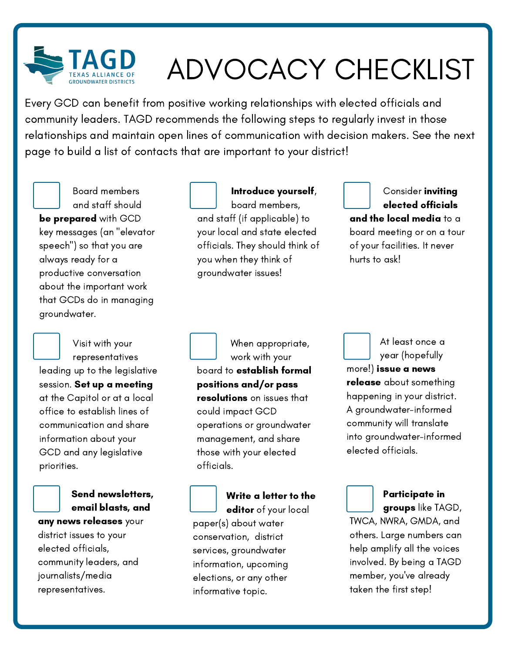

# ADVOCACY CHECKLIST

Every GCD can benefit from positive working relationships with elected officials and community leaders. TAGD recommends the following steps to regularly invest in those relationships and maintain open lines of communication with decision makers. See the next page to build a list of contacts that are important to your district!

Board members and staff should be prepared with GCD key messages (an "elevator speech") so that you are always ready for a productive conversation about the important work that GCDs do in managing groundwater.

Visit with your representatives leading up to the legislative session. Set up a meeting at the Capitol or at a local office to establish lines of communication and share information about your GCD and any legislative priorities.



### Send newsletters, email blasts, and

any news releases your district issues to your elected officials, community leaders, and journalists/media representatives.

board members, and staff (if applicable) to your local and state elected officials. They should think of you when they think of groundwater issues!

Introduce yourself,



#### Consider **inviting** elected officials and the local media to a board meeting or on a tour of your facilities. It never hurts to ask!

When appropriate, work with your board to establish formal positions and/or pass resolutions on issues that could impact GCD operations or groundwater management, and share those with your elected officials.

Write a letter to the editor of your local paper(s) about water conservation, district services, groundwater information, upcoming elections, or any other informative topic.



At least once a year (hopefully

more!) issue a news release about something happening in your district. A groundwater-informed community will translate into groundwater-informed elected officials.



## Participate in groups like TAGD,

TWCA, NWRA, GMDA, and others. Large numbers can help amplify all the voices involved. By being a TAGD member, you've already taken the first step!